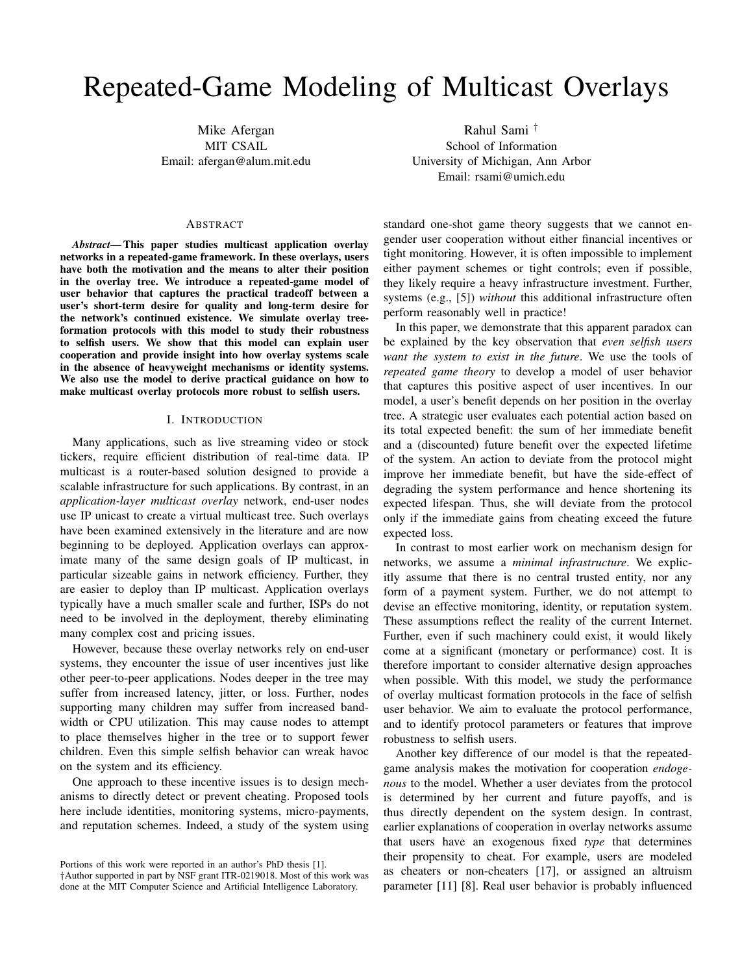# Repeated-Game Modeling of Multicast Overlays

Mike Afergan MIT CSAIL Email: afergan@alum.mit.edu

## ABSTRACT

*Abstract***— This paper studies multicast application overlay networks in a repeated-game framework. In these overlays, users have both the motivation and the means to alter their position in the overlay tree. We introduce a repeated-game model of user behavior that captures the practical tradeoff between a user's short-term desire for quality and long-term desire for the network's continued existence. We simulate overlay treeformation protocols with this model to study their robustness to selfish users. We show that this model can explain user cooperation and provide insight into how overlay systems scale in the absence of heavyweight mechanisms or identity systems. We also use the model to derive practical guidance on how to make multicast overlay protocols more robust to selfish users.**

## I. INTRODUCTION

Many applications, such as live streaming video or stock tickers, require efficient distribution of real-time data. IP multicast is a router-based solution designed to provide a scalable infrastructure for such applications. By contrast, in an *application-layer multicast overlay* network, end-user nodes use IP unicast to create a virtual multicast tree. Such overlays have been examined extensively in the literature and are now beginning to be deployed. Application overlays can approximate many of the same design goals of IP multicast, in particular sizeable gains in network efficiency. Further, they are easier to deploy than IP multicast. Application overlays typically have a much smaller scale and further, ISPs do not need to be involved in the deployment, thereby eliminating many complex cost and pricing issues.

However, because these overlay networks rely on end-user systems, they encounter the issue of user incentives just like other peer-to-peer applications. Nodes deeper in the tree may suffer from increased latency, jitter, or loss. Further, nodes supporting many children may suffer from increased bandwidth or CPU utilization. This may cause nodes to attempt to place themselves higher in the tree or to support fewer children. Even this simple selfish behavior can wreak havoc on the system and its efficiency.

One approach to these incentive issues is to design mechanisms to directly detect or prevent cheating. Proposed tools here include identities, monitoring systems, micro-payments, and reputation schemes. Indeed, a study of the system using

done at the MIT Computer Science and Artificial Intelligence Laboratory.

Rahul Sami † School of Information University of Michigan, Ann Arbor Email: rsami@umich.edu

standard one-shot game theory suggests that we cannot engender user cooperation without either financial incentives or tight monitoring. However, it is often impossible to implement either payment schemes or tight controls; even if possible, they likely require a heavy infrastructure investment. Further, systems (e.g., [5]) *without* this additional infrastructure often perform reasonably well in practice!

In this paper, we demonstrate that this apparent paradox can be explained by the key observation that *even selfish users want the system to exist in the future*. We use the tools of *repeated game theory* to develop a model of user behavior that captures this positive aspect of user incentives. In our model, a user's benefit depends on her position in the overlay tree. A strategic user evaluates each potential action based on its total expected benefit: the sum of her immediate benefit and a (discounted) future benefit over the expected lifetime of the system. An action to deviate from the protocol might improve her immediate benefit, but have the side-effect of degrading the system performance and hence shortening its expected lifespan. Thus, she will deviate from the protocol only if the immediate gains from cheating exceed the future expected loss.

In contrast to most earlier work on mechanism design for networks, we assume a *minimal infrastructure*. We explicitly assume that there is no central trusted entity, nor any form of a payment system. Further, we do not attempt to devise an effective monitoring, identity, or reputation system. These assumptions reflect the reality of the current Internet. Further, even if such machinery could exist, it would likely come at a significant (monetary or performance) cost. It is therefore important to consider alternative design approaches when possible. With this model, we study the performance of overlay multicast formation protocols in the face of selfish user behavior. We aim to evaluate the protocol performance, and to identify protocol parameters or features that improve robustness to selfish users.

Another key difference of our model is that the repeatedgame analysis makes the motivation for cooperation *endogenous* to the model. Whether a user deviates from the protocol is determined by her current and future payoffs, and is thus directly dependent on the system design. In contrast, earlier explanations of cooperation in overlay networks assume that users have an exogenous fixed *type* that determines their propensity to cheat. For example, users are modeled as cheaters or non-cheaters [17], or assigned an altruism parameter [11] [8]. Real user behavior is probably influenced

Portions of this work were reported in an author's PhD thesis [1]. †Author supported in part by NSF grant ITR-0219018. Most of this work was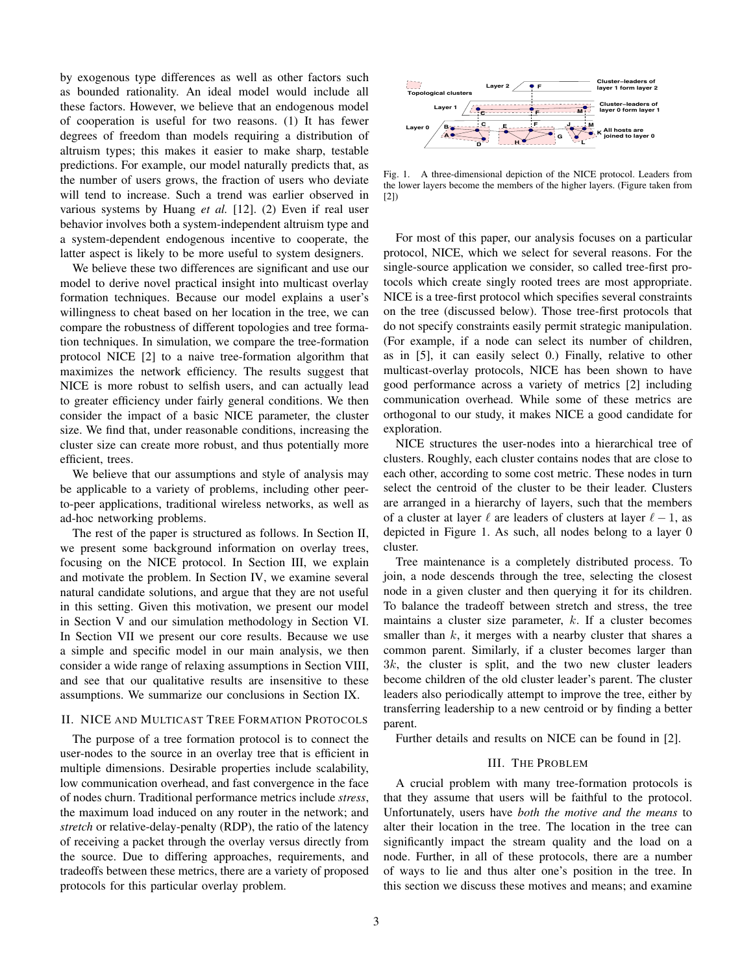by exogenous type differences as well as other factors such as bounded rationality. An ideal model would include all these factors. However, we believe that an endogenous model of cooperation is useful for two reasons. (1) It has fewer degrees of freedom than models requiring a distribution of altruism types; this makes it easier to make sharp, testable predictions. For example, our model naturally predicts that, as the number of users grows, the fraction of users who deviate will tend to increase. Such a trend was earlier observed in various systems by Huang *et al.* [12]. (2) Even if real user behavior involves both a system-independent altruism type and a system-dependent endogenous incentive to cooperate, the latter aspect is likely to be more useful to system designers.

We believe these two differences are significant and use our model to derive novel practical insight into multicast overlay formation techniques. Because our model explains a user's willingness to cheat based on her location in the tree, we can compare the robustness of different topologies and tree formation techniques. In simulation, we compare the tree-formation protocol NICE [2] to a naive tree-formation algorithm that maximizes the network efficiency. The results suggest that NICE is more robust to selfish users, and can actually lead to greater efficiency under fairly general conditions. We then consider the impact of a basic NICE parameter, the cluster size. We find that, under reasonable conditions, increasing the cluster size can create more robust, and thus potentially more efficient, trees.

We believe that our assumptions and style of analysis may be applicable to a variety of problems, including other peerto-peer applications, traditional wireless networks, as well as ad-hoc networking problems.

The rest of the paper is structured as follows. In Section II, we present some background information on overlay trees, focusing on the NICE protocol. In Section III, we explain and motivate the problem. In Section IV, we examine several natural candidate solutions, and argue that they are not useful in this setting. Given this motivation, we present our model in Section V and our simulation methodology in Section VI. In Section VII we present our core results. Because we use a simple and specific model in our main analysis, we then consider a wide range of relaxing assumptions in Section VIII, and see that our qualitative results are insensitive to these assumptions. We summarize our conclusions in Section IX.

## II. NICE AND MULTICAST TREE FORMATION PROTOCOLS

The purpose of a tree formation protocol is to connect the user-nodes to the source in an overlay tree that is efficient in multiple dimensions. Desirable properties include scalability, low communication overhead, and fast convergence in the face of nodes churn. Traditional performance metrics include *stress*, the maximum load induced on any router in the network; and *stretch* or relative-delay-penalty (RDP), the ratio of the latency of receiving a packet through the overlay versus directly from the source. Due to differing approaches, requirements, and tradeoffs between these metrics, there are a variety of proposed protocols for this particular overlay problem.



Fig. 1. A three-dimensional depiction of the NICE protocol. Leaders from the lower layers become the members of the higher layers. (Figure taken from [2])

For most of this paper, our analysis focuses on a particular protocol, NICE, which we select for several reasons. For the single-source application we consider, so called tree-first protocols which create singly rooted trees are most appropriate. NICE is a tree-first protocol which specifies several constraints on the tree (discussed below). Those tree-first protocols that do not specify constraints easily permit strategic manipulation. (For example, if a node can select its number of children, as in [5], it can easily select 0.) Finally, relative to other multicast-overlay protocols, NICE has been shown to have good performance across a variety of metrics [2] including communication overhead. While some of these metrics are orthogonal to our study, it makes NICE a good candidate for exploration.

NICE structures the user-nodes into a hierarchical tree of clusters. Roughly, each cluster contains nodes that are close to each other, according to some cost metric. These nodes in turn select the centroid of the cluster to be their leader. Clusters are arranged in a hierarchy of layers, such that the members of a cluster at layer  $\ell$  are leaders of clusters at layer  $\ell - 1$ , as depicted in Figure 1. As such, all nodes belong to a layer 0 cluster.

Tree maintenance is a completely distributed process. To join, a node descends through the tree, selecting the closest node in a given cluster and then querying it for its children. To balance the tradeoff between stretch and stress, the tree maintains a cluster size parameter,  $k$ . If a cluster becomes smaller than  $k$ , it merges with a nearby cluster that shares a common parent. Similarly, if a cluster becomes larger than 3k, the cluster is split, and the two new cluster leaders become children of the old cluster leader's parent. The cluster leaders also periodically attempt to improve the tree, either by transferring leadership to a new centroid or by finding a better parent.

Further details and results on NICE can be found in [2].

## III. THE PROBLEM

A crucial problem with many tree-formation protocols is that they assume that users will be faithful to the protocol. Unfortunately, users have *both the motive and the means* to alter their location in the tree. The location in the tree can significantly impact the stream quality and the load on a node. Further, in all of these protocols, there are a number of ways to lie and thus alter one's position in the tree. In this section we discuss these motives and means; and examine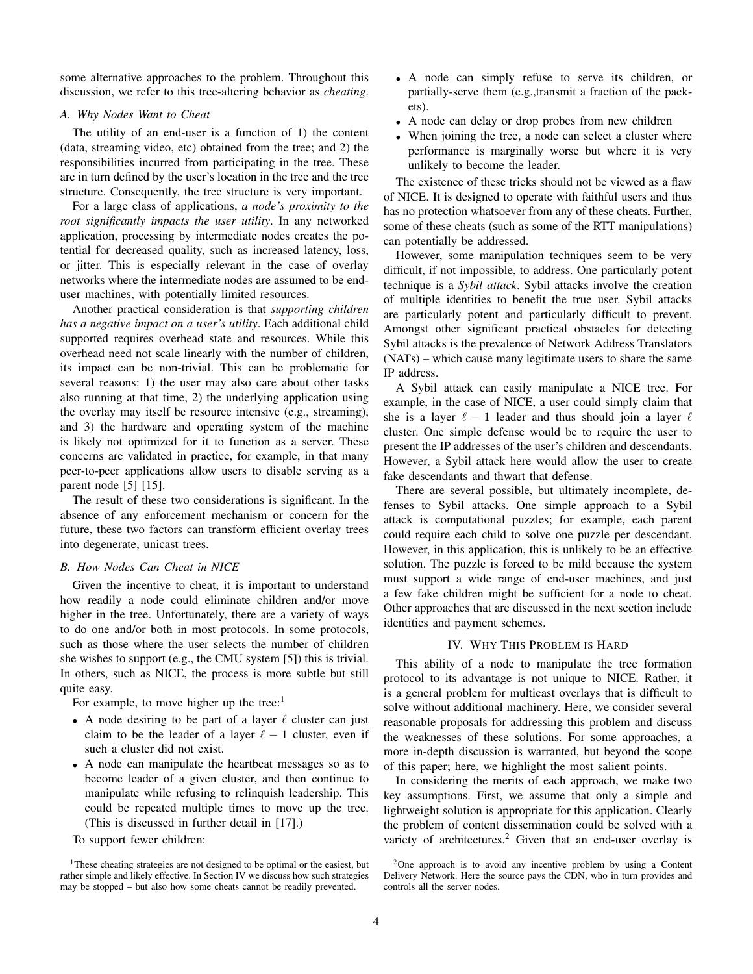some alternative approaches to the problem. Throughout this discussion, we refer to this tree-altering behavior as *cheating*.

## *A. Why Nodes Want to Cheat*

The utility of an end-user is a function of 1) the content (data, streaming video, etc) obtained from the tree; and 2) the responsibilities incurred from participating in the tree. These are in turn defined by the user's location in the tree and the tree structure. Consequently, the tree structure is very important.

For a large class of applications, *a node's proximity to the root significantly impacts the user utility*. In any networked application, processing by intermediate nodes creates the potential for decreased quality, such as increased latency, loss, or jitter. This is especially relevant in the case of overlay networks where the intermediate nodes are assumed to be enduser machines, with potentially limited resources.

Another practical consideration is that *supporting children has a negative impact on a user's utility*. Each additional child supported requires overhead state and resources. While this overhead need not scale linearly with the number of children, its impact can be non-trivial. This can be problematic for several reasons: 1) the user may also care about other tasks also running at that time, 2) the underlying application using the overlay may itself be resource intensive (e.g., streaming), and 3) the hardware and operating system of the machine is likely not optimized for it to function as a server. These concerns are validated in practice, for example, in that many peer-to-peer applications allow users to disable serving as a parent node [5] [15].

The result of these two considerations is significant. In the absence of any enforcement mechanism or concern for the future, these two factors can transform efficient overlay trees into degenerate, unicast trees.

## *B. How Nodes Can Cheat in NICE*

Given the incentive to cheat, it is important to understand how readily a node could eliminate children and/or move higher in the tree. Unfortunately, there are a variety of ways to do one and/or both in most protocols. In some protocols, such as those where the user selects the number of children she wishes to support (e.g., the CMU system [5]) this is trivial. In others, such as NICE, the process is more subtle but still quite easy.

For example, to move higher up the tree:<sup>1</sup>

- A node desiring to be part of a layer  $\ell$  cluster can just claim to be the leader of a layer  $\ell - 1$  cluster, even if such a cluster did not exist.
- A node can manipulate the heartbeat messages so as to become leader of a given cluster, and then continue to manipulate while refusing to relinquish leadership. This could be repeated multiple times to move up the tree. (This is discussed in further detail in [17].)

To support fewer children:

- A node can simply refuse to serve its children, or partially-serve them (e.g.,transmit a fraction of the packets).
- A node can delay or drop probes from new children
- When joining the tree, a node can select a cluster where performance is marginally worse but where it is very unlikely to become the leader.

The existence of these tricks should not be viewed as a flaw of NICE. It is designed to operate with faithful users and thus has no protection whatsoever from any of these cheats. Further, some of these cheats (such as some of the RTT manipulations) can potentially be addressed.

However, some manipulation techniques seem to be very difficult, if not impossible, to address. One particularly potent technique is a *Sybil attack*. Sybil attacks involve the creation of multiple identities to benefit the true user. Sybil attacks are particularly potent and particularly difficult to prevent. Amongst other significant practical obstacles for detecting Sybil attacks is the prevalence of Network Address Translators (NATs) – which cause many legitimate users to share the same IP address.

A Sybil attack can easily manipulate a NICE tree. For example, in the case of NICE, a user could simply claim that she is a layer  $\ell - 1$  leader and thus should join a layer  $\ell$ cluster. One simple defense would be to require the user to present the IP addresses of the user's children and descendants. However, a Sybil attack here would allow the user to create fake descendants and thwart that defense.

There are several possible, but ultimately incomplete, defenses to Sybil attacks. One simple approach to a Sybil attack is computational puzzles; for example, each parent could require each child to solve one puzzle per descendant. However, in this application, this is unlikely to be an effective solution. The puzzle is forced to be mild because the system must support a wide range of end-user machines, and just a few fake children might be sufficient for a node to cheat. Other approaches that are discussed in the next section include identities and payment schemes.

#### IV. WHY THIS PROBLEM IS HARD

This ability of a node to manipulate the tree formation protocol to its advantage is not unique to NICE. Rather, it is a general problem for multicast overlays that is difficult to solve without additional machinery. Here, we consider several reasonable proposals for addressing this problem and discuss the weaknesses of these solutions. For some approaches, a more in-depth discussion is warranted, but beyond the scope of this paper; here, we highlight the most salient points.

In considering the merits of each approach, we make two key assumptions. First, we assume that only a simple and lightweight solution is appropriate for this application. Clearly the problem of content dissemination could be solved with a variety of architectures.<sup>2</sup> Given that an end-user overlay is

<sup>&</sup>lt;sup>1</sup>These cheating strategies are not designed to be optimal or the easiest, but rather simple and likely effective. In Section IV we discuss how such strategies may be stopped – but also how some cheats cannot be readily prevented.

<sup>2</sup>One approach is to avoid any incentive problem by using a Content Delivery Network. Here the source pays the CDN, who in turn provides and controls all the server nodes.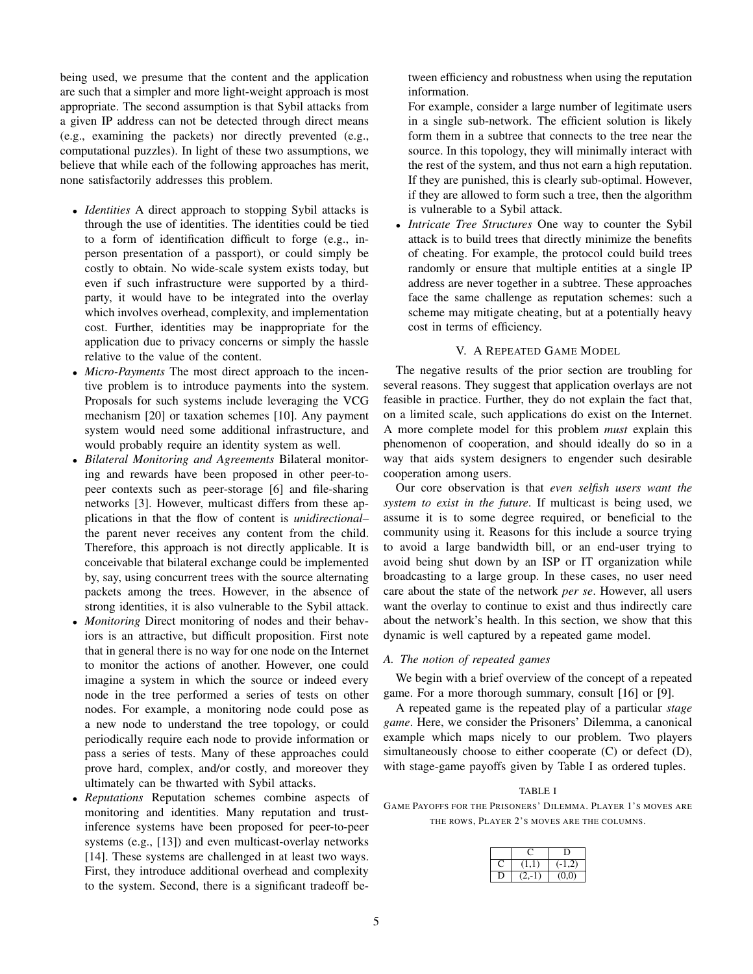being used, we presume that the content and the application are such that a simpler and more light-weight approach is most appropriate. The second assumption is that Sybil attacks from a given IP address can not be detected through direct means (e.g., examining the packets) nor directly prevented (e.g., computational puzzles). In light of these two assumptions, we believe that while each of the following approaches has merit, none satisfactorily addresses this problem.

- *Identities* A direct approach to stopping Sybil attacks is through the use of identities. The identities could be tied to a form of identification difficult to forge (e.g., inperson presentation of a passport), or could simply be costly to obtain. No wide-scale system exists today, but even if such infrastructure were supported by a thirdparty, it would have to be integrated into the overlay which involves overhead, complexity, and implementation cost. Further, identities may be inappropriate for the application due to privacy concerns or simply the hassle relative to the value of the content.
- *Micro-Payments* The most direct approach to the incentive problem is to introduce payments into the system. Proposals for such systems include leveraging the VCG mechanism [20] or taxation schemes [10]. Any payment system would need some additional infrastructure, and would probably require an identity system as well.
- *Bilateral Monitoring and Agreements* Bilateral monitoring and rewards have been proposed in other peer-topeer contexts such as peer-storage [6] and file-sharing networks [3]. However, multicast differs from these applications in that the flow of content is *unidirectional*– the parent never receives any content from the child. Therefore, this approach is not directly applicable. It is conceivable that bilateral exchange could be implemented by, say, using concurrent trees with the source alternating packets among the trees. However, in the absence of strong identities, it is also vulnerable to the Sybil attack.
- *Monitoring* Direct monitoring of nodes and their behaviors is an attractive, but difficult proposition. First note that in general there is no way for one node on the Internet to monitor the actions of another. However, one could imagine a system in which the source or indeed every node in the tree performed a series of tests on other nodes. For example, a monitoring node could pose as a new node to understand the tree topology, or could periodically require each node to provide information or pass a series of tests. Many of these approaches could prove hard, complex, and/or costly, and moreover they ultimately can be thwarted with Sybil attacks.
- *Reputations* Reputation schemes combine aspects of monitoring and identities. Many reputation and trustinference systems have been proposed for peer-to-peer systems (e.g., [13]) and even multicast-overlay networks [14]. These systems are challenged in at least two ways. First, they introduce additional overhead and complexity to the system. Second, there is a significant tradeoff be-

tween efficiency and robustness when using the reputation information.

- For example, consider a large number of legitimate users in a single sub-network. The efficient solution is likely form them in a subtree that connects to the tree near the source. In this topology, they will minimally interact with the rest of the system, and thus not earn a high reputation. If they are punished, this is clearly sub-optimal. However, if they are allowed to form such a tree, then the algorithm is vulnerable to a Sybil attack.
- *Intricate Tree Structures* One way to counter the Sybil attack is to build trees that directly minimize the benefits of cheating. For example, the protocol could build trees randomly or ensure that multiple entities at a single IP address are never together in a subtree. These approaches face the same challenge as reputation schemes: such a scheme may mitigate cheating, but at a potentially heavy cost in terms of efficiency.

## V. A REPEATED GAME MODEL

The negative results of the prior section are troubling for several reasons. They suggest that application overlays are not feasible in practice. Further, they do not explain the fact that, on a limited scale, such applications do exist on the Internet. A more complete model for this problem *must* explain this phenomenon of cooperation, and should ideally do so in a way that aids system designers to engender such desirable cooperation among users.

Our core observation is that *even selfish users want the system to exist in the future*. If multicast is being used, we assume it is to some degree required, or beneficial to the community using it. Reasons for this include a source trying to avoid a large bandwidth bill, or an end-user trying to avoid being shut down by an ISP or IT organization while broadcasting to a large group. In these cases, no user need care about the state of the network *per se*. However, all users want the overlay to continue to exist and thus indirectly care about the network's health. In this section, we show that this dynamic is well captured by a repeated game model.

## *A. The notion of repeated games*

We begin with a brief overview of the concept of a repeated game. For a more thorough summary, consult [16] or [9].

A repeated game is the repeated play of a particular *stage game*. Here, we consider the Prisoners' Dilemma, a canonical example which maps nicely to our problem. Two players simultaneously choose to either cooperate (C) or defect (D), with stage-game payoffs given by Table I as ordered tuples.

#### TABLE I

GAME PAYOFFS FOR THE PRISONERS' DILEMMA. PLAYER 1'S MOVES ARE THE ROWS, PLAYER 2'S MOVES ARE THE COLUMNS.

|  | (0.0) |
|--|-------|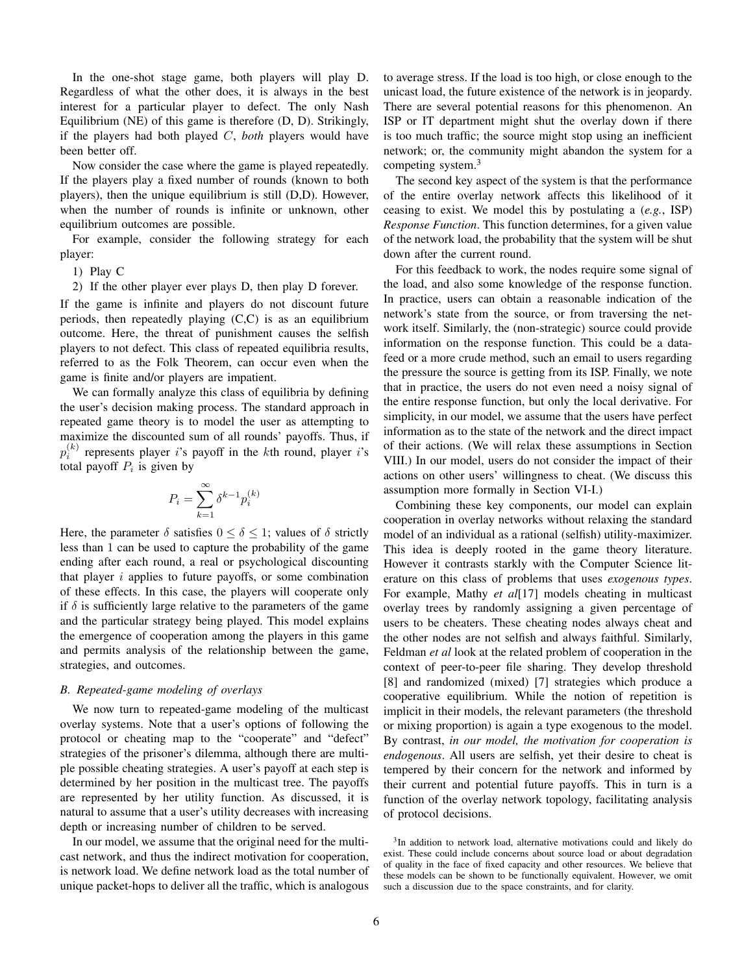In the one-shot stage game, both players will play D. Regardless of what the other does, it is always in the best interest for a particular player to defect. The only Nash Equilibrium (NE) of this game is therefore (D, D). Strikingly, if the players had both played C, *both* players would have been better off.

Now consider the case where the game is played repeatedly. If the players play a fixed number of rounds (known to both players), then the unique equilibrium is still (D,D). However, when the number of rounds is infinite or unknown, other equilibrium outcomes are possible.

For example, consider the following strategy for each player:

1) Play C

2) If the other player ever plays D, then play D forever.

If the game is infinite and players do not discount future periods, then repeatedly playing (C,C) is as an equilibrium outcome. Here, the threat of punishment causes the selfish players to not defect. This class of repeated equilibria results, referred to as the Folk Theorem, can occur even when the game is finite and/or players are impatient.

We can formally analyze this class of equilibria by defining the user's decision making process. The standard approach in repeated game theory is to model the user as attempting to maximize the discounted sum of all rounds' payoffs. Thus, if  $p_i^{(k)}$  represents player is payoff in the kth round, player is total payoff  $P_i$  is given by

$$
P_i = \sum_{k=1}^{\infty} \delta^{k-1} p_i^{(k)}
$$

Here, the parameter  $\delta$  satisfies  $0 \leq \delta \leq 1$ ; values of  $\delta$  strictly less than 1 can be used to capture the probability of the game ending after each round, a real or psychological discounting that player  $i$  applies to future payoffs, or some combination of these effects. In this case, the players will cooperate only if  $\delta$  is sufficiently large relative to the parameters of the game and the particular strategy being played. This model explains the emergence of cooperation among the players in this game and permits analysis of the relationship between the game, strategies, and outcomes.

## *B. Repeated-game modeling of overlays*

We now turn to repeated-game modeling of the multicast overlay systems. Note that a user's options of following the protocol or cheating map to the "cooperate" and "defect" strategies of the prisoner's dilemma, although there are multiple possible cheating strategies. A user's payoff at each step is determined by her position in the multicast tree. The payoffs are represented by her utility function. As discussed, it is natural to assume that a user's utility decreases with increasing depth or increasing number of children to be served.

In our model, we assume that the original need for the multicast network, and thus the indirect motivation for cooperation, is network load. We define network load as the total number of unique packet-hops to deliver all the traffic, which is analogous

to average stress. If the load is too high, or close enough to the unicast load, the future existence of the network is in jeopardy. There are several potential reasons for this phenomenon. An ISP or IT department might shut the overlay down if there is too much traffic; the source might stop using an inefficient network; or, the community might abandon the system for a competing system.<sup>3</sup>

The second key aspect of the system is that the performance of the entire overlay network affects this likelihood of it ceasing to exist. We model this by postulating a (*e.g.*, ISP) *Response Function*. This function determines, for a given value of the network load, the probability that the system will be shut down after the current round.

For this feedback to work, the nodes require some signal of the load, and also some knowledge of the response function. In practice, users can obtain a reasonable indication of the network's state from the source, or from traversing the network itself. Similarly, the (non-strategic) source could provide information on the response function. This could be a datafeed or a more crude method, such an email to users regarding the pressure the source is getting from its ISP. Finally, we note that in practice, the users do not even need a noisy signal of the entire response function, but only the local derivative. For simplicity, in our model, we assume that the users have perfect information as to the state of the network and the direct impact of their actions. (We will relax these assumptions in Section VIII.) In our model, users do not consider the impact of their actions on other users' willingness to cheat. (We discuss this assumption more formally in Section VI-I.)

Combining these key components, our model can explain cooperation in overlay networks without relaxing the standard model of an individual as a rational (selfish) utility-maximizer. This idea is deeply rooted in the game theory literature. However it contrasts starkly with the Computer Science literature on this class of problems that uses *exogenous types*. For example, Mathy *et al*[17] models cheating in multicast overlay trees by randomly assigning a given percentage of users to be cheaters. These cheating nodes always cheat and the other nodes are not selfish and always faithful. Similarly, Feldman *et al* look at the related problem of cooperation in the context of peer-to-peer file sharing. They develop threshold [8] and randomized (mixed) [7] strategies which produce a cooperative equilibrium. While the notion of repetition is implicit in their models, the relevant parameters (the threshold or mixing proportion) is again a type exogenous to the model. By contrast, *in our model, the motivation for cooperation is endogenous*. All users are selfish, yet their desire to cheat is tempered by their concern for the network and informed by their current and potential future payoffs. This in turn is a function of the overlay network topology, facilitating analysis of protocol decisions.

<sup>3</sup>In addition to network load, alternative motivations could and likely do exist. These could include concerns about source load or about degradation of quality in the face of fixed capacity and other resources. We believe that these models can be shown to be functionally equivalent. However, we omit such a discussion due to the space constraints, and for clarity.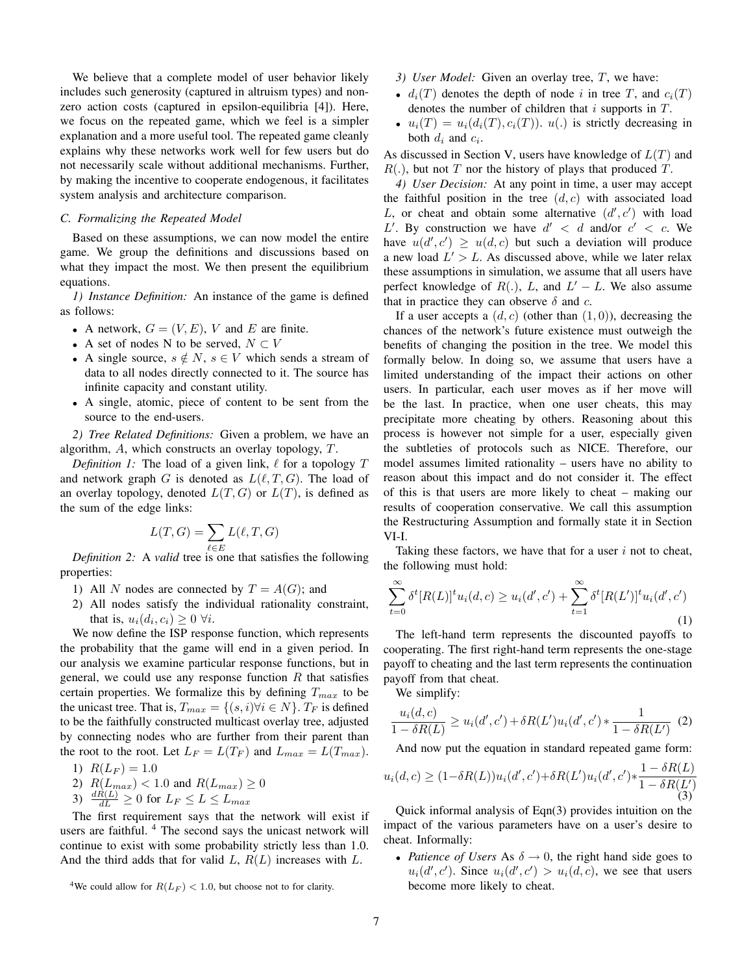We believe that a complete model of user behavior likely includes such generosity (captured in altruism types) and nonzero action costs (captured in epsilon-equilibria [4]). Here, we focus on the repeated game, which we feel is a simpler explanation and a more useful tool. The repeated game cleanly explains why these networks work well for few users but do not necessarily scale without additional mechanisms. Further, by making the incentive to cooperate endogenous, it facilitates system analysis and architecture comparison.

## *C. Formalizing the Repeated Model*

Based on these assumptions, we can now model the entire game. We group the definitions and discussions based on what they impact the most. We then present the equilibrium equations.

*1) Instance Definition:* An instance of the game is defined as follows:

- A network,  $G = (V, E)$ , V and E are finite.
- A set of nodes N to be served,  $N \subset V$
- A single source,  $s \notin N$ ,  $s \in V$  which sends a stream of data to all nodes directly connected to it. The source has infinite capacity and constant utility.
- A single, atomic, piece of content to be sent from the source to the end-users.

*2) Tree Related Definitions:* Given a problem, we have an algorithm, A, which constructs an overlay topology, T.

*Definition 1:* The load of a given link,  $\ell$  for a topology T and network graph G is denoted as  $L(\ell, T, G)$ . The load of an overlay topology, denoted  $L(T, G)$  or  $L(T)$ , is defined as the sum of the edge links:

$$
L(T, G) = \sum_{\ell \in E} L(\ell, T, G)
$$

*Definition 2:* A *valid* tree is one that satisfies the following properties:

- 1) All N nodes are connected by  $T = A(G)$ ; and
- 2) All nodes satisfy the individual rationality constraint, that is,  $u_i(d_i, c_i) \geq 0 \ \forall i$ .

We now define the ISP response function, which represents the probability that the game will end in a given period. In our analysis we examine particular response functions, but in general, we could use any response function  $R$  that satisfies certain properties. We formalize this by defining  $T_{max}$  to be the unicast tree. That is,  $T_{max} = \{(s, i) \forall i \in N\}$ .  $T_F$  is defined to be the faithfully constructed multicast overlay tree, adjusted by connecting nodes who are further from their parent than the root to the root. Let  $L_F = L(T_F)$  and  $L_{max} = L(T_{max})$ .

$$
1) R(L_F) = 1.0
$$

- 2)  $R(L_{max}) < 1.0$  and  $R(L_{max}) \ge 0$
- 3)  $\frac{d\hat{R}(L)}{dL} \geq 0$  for  $L_F \leq L \leq L_{max}$

The first requirement says that the network will exist if users are faithful. <sup>4</sup> The second says the unicast network will continue to exist with some probability strictly less than 1.0. And the third adds that for valid  $L$ ,  $R(L)$  increases with  $L$ .

- *3) User Model:* Given an overlay tree, T, we have:
- $d_i(T)$  denotes the depth of node i in tree T, and  $c_i(T)$ denotes the number of children that  $i$  supports in  $T$ .
- $u_i(T) = u_i(d_i(T), c_i(T))$ .  $u(.)$  is strictly decreasing in both  $d_i$  and  $c_i$ .

As discussed in Section V, users have knowledge of  $L(T)$  and  $R(.)$ , but not T nor the history of plays that produced T.

*4) User Decision:* At any point in time, a user may accept the faithful position in the tree  $(d, c)$  with associated load L, or cheat and obtain some alternative  $(d', c')$  with load L'. By construction we have  $d' < d$  and/or  $c' < c$ . We have  $u(d', c') \geq u(d, c)$  but such a deviation will produce a new load  $L' > L$ . As discussed above, while we later relax these assumptions in simulation, we assume that all users have perfect knowledge of  $R(.)$ , L, and  $L' - L$ . We also assume that in practice they can observe  $\delta$  and c.

If a user accepts a  $(d, c)$  (other than  $(1, 0)$ ), decreasing the chances of the network's future existence must outweigh the benefits of changing the position in the tree. We model this formally below. In doing so, we assume that users have a limited understanding of the impact their actions on other users. In particular, each user moves as if her move will be the last. In practice, when one user cheats, this may precipitate more cheating by others. Reasoning about this process is however not simple for a user, especially given the subtleties of protocols such as NICE. Therefore, our model assumes limited rationality – users have no ability to reason about this impact and do not consider it. The effect of this is that users are more likely to cheat – making our results of cooperation conservative. We call this assumption the Restructuring Assumption and formally state it in Section VI-I.

Taking these factors, we have that for a user  $i$  not to cheat, the following must hold:

$$
\sum_{t=0}^{\infty} \delta^t [R(L)]^t u_i(d,c) \ge u_i(d',c') + \sum_{t=1}^{\infty} \delta^t [R(L')]^t u_i(d',c')
$$
\n(1)

The left-hand term represents the discounted payoffs to cooperating. The first right-hand term represents the one-stage payoff to cheating and the last term represents the continuation payoff from that cheat.

We simplify:

$$
\frac{u_i(d,c)}{1 - \delta R(L)} \ge u_i(d',c') + \delta R(L')u_i(d',c') * \frac{1}{1 - \delta R(L')} \tag{2}
$$

And now put the equation in standard repeated game form:

$$
u_i(d,c) \ge (1 - \delta R(L))u_i(d',c') + \delta R(L')u_i(d',c') * \frac{1 - \delta R(L)}{1 - \delta R(L')}
$$
\n(3)

Quick informal analysis of Eqn(3) provides intuition on the impact of the various parameters have on a user's desire to cheat. Informally:

• *Patience of Users* As  $\delta \rightarrow 0$ , the right hand side goes to  $u_i(d', c')$ . Since  $u_i(d', c') > u_i(d, c)$ , we see that users become more likely to cheat.

<sup>&</sup>lt;sup>4</sup>We could allow for  $R(L_F)$  < 1.0, but choose not to for clarity.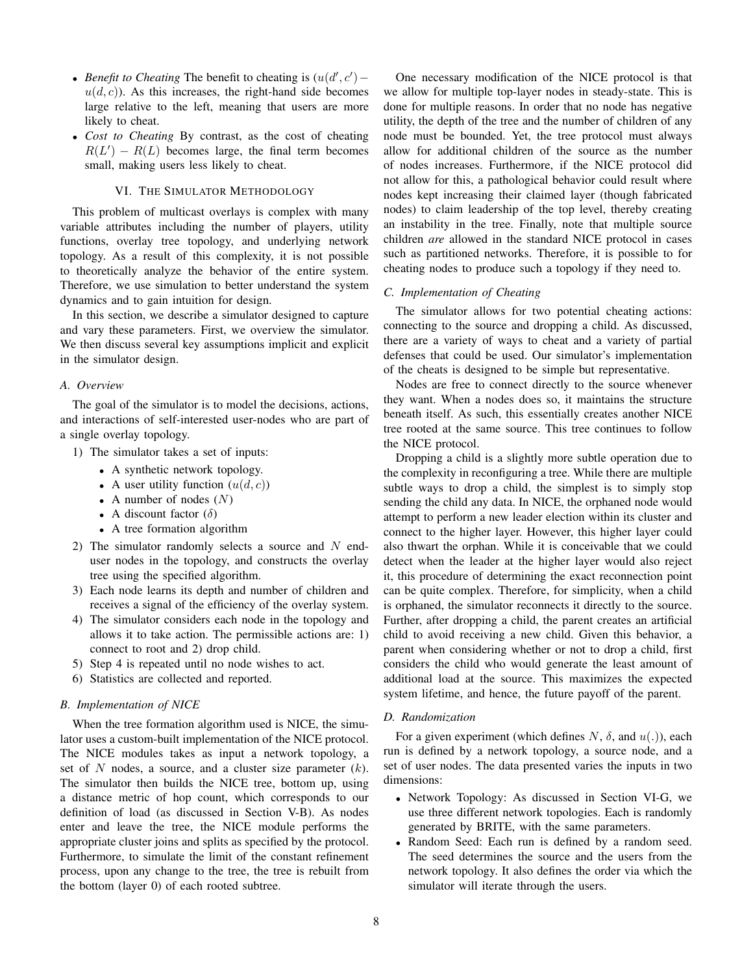- *Benefit to Cheating* The benefit to cheating is  $(u(d', c')$  $u(d, c)$ ). As this increases, the right-hand side becomes large relative to the left, meaning that users are more likely to cheat.
- *Cost to Cheating* By contrast, as the cost of cheating  $R(L') - R(L)$  becomes large, the final term becomes small, making users less likely to cheat.

## VI. THE SIMULATOR METHODOLOGY

This problem of multicast overlays is complex with many variable attributes including the number of players, utility functions, overlay tree topology, and underlying network topology. As a result of this complexity, it is not possible to theoretically analyze the behavior of the entire system. Therefore, we use simulation to better understand the system dynamics and to gain intuition for design.

In this section, we describe a simulator designed to capture and vary these parameters. First, we overview the simulator. We then discuss several key assumptions implicit and explicit in the simulator design.

## *A. Overview*

The goal of the simulator is to model the decisions, actions, and interactions of self-interested user-nodes who are part of a single overlay topology.

- 1) The simulator takes a set of inputs:
	- A synthetic network topology.
	- A user utility function  $(u(d, c))$
	- A number of nodes  $(N)$
	- A discount factor  $(\delta)$
	- A tree formation algorithm
- 2) The simulator randomly selects a source and  $N$  enduser nodes in the topology, and constructs the overlay tree using the specified algorithm.
- 3) Each node learns its depth and number of children and receives a signal of the efficiency of the overlay system.
- 4) The simulator considers each node in the topology and allows it to take action. The permissible actions are: 1) connect to root and 2) drop child.
- 5) Step 4 is repeated until no node wishes to act.
- 6) Statistics are collected and reported.

## *B. Implementation of NICE*

When the tree formation algorithm used is NICE, the simulator uses a custom-built implementation of the NICE protocol. The NICE modules takes as input a network topology, a set of N nodes, a source, and a cluster size parameter  $(k)$ . The simulator then builds the NICE tree, bottom up, using a distance metric of hop count, which corresponds to our definition of load (as discussed in Section V-B). As nodes enter and leave the tree, the NICE module performs the appropriate cluster joins and splits as specified by the protocol. Furthermore, to simulate the limit of the constant refinement process, upon any change to the tree, the tree is rebuilt from the bottom (layer 0) of each rooted subtree.

One necessary modification of the NICE protocol is that we allow for multiple top-layer nodes in steady-state. This is done for multiple reasons. In order that no node has negative utility, the depth of the tree and the number of children of any node must be bounded. Yet, the tree protocol must always allow for additional children of the source as the number of nodes increases. Furthermore, if the NICE protocol did not allow for this, a pathological behavior could result where nodes kept increasing their claimed layer (though fabricated nodes) to claim leadership of the top level, thereby creating an instability in the tree. Finally, note that multiple source children *are* allowed in the standard NICE protocol in cases such as partitioned networks. Therefore, it is possible to for cheating nodes to produce such a topology if they need to.

## *C. Implementation of Cheating*

The simulator allows for two potential cheating actions: connecting to the source and dropping a child. As discussed, there are a variety of ways to cheat and a variety of partial defenses that could be used. Our simulator's implementation of the cheats is designed to be simple but representative.

Nodes are free to connect directly to the source whenever they want. When a nodes does so, it maintains the structure beneath itself. As such, this essentially creates another NICE tree rooted at the same source. This tree continues to follow the NICE protocol.

Dropping a child is a slightly more subtle operation due to the complexity in reconfiguring a tree. While there are multiple subtle ways to drop a child, the simplest is to simply stop sending the child any data. In NICE, the orphaned node would attempt to perform a new leader election within its cluster and connect to the higher layer. However, this higher layer could also thwart the orphan. While it is conceivable that we could detect when the leader at the higher layer would also reject it, this procedure of determining the exact reconnection point can be quite complex. Therefore, for simplicity, when a child is orphaned, the simulator reconnects it directly to the source. Further, after dropping a child, the parent creates an artificial child to avoid receiving a new child. Given this behavior, a parent when considering whether or not to drop a child, first considers the child who would generate the least amount of additional load at the source. This maximizes the expected system lifetime, and hence, the future payoff of the parent.

## *D. Randomization*

For a given experiment (which defines  $N$ ,  $\delta$ , and  $u(.)$ ), each run is defined by a network topology, a source node, and a set of user nodes. The data presented varies the inputs in two dimensions:

- Network Topology: As discussed in Section VI-G, we use three different network topologies. Each is randomly generated by BRITE, with the same parameters.
- Random Seed: Each run is defined by a random seed. The seed determines the source and the users from the network topology. It also defines the order via which the simulator will iterate through the users.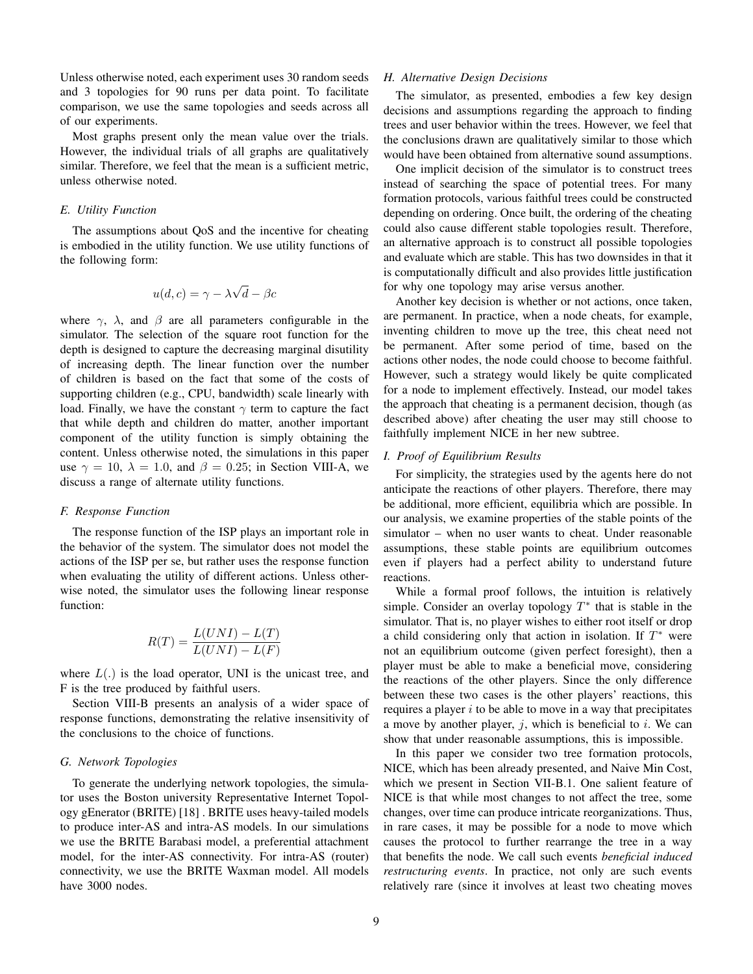Unless otherwise noted, each experiment uses 30 random seeds and 3 topologies for 90 runs per data point. To facilitate comparison, we use the same topologies and seeds across all of our experiments.

Most graphs present only the mean value over the trials. However, the individual trials of all graphs are qualitatively similar. Therefore, we feel that the mean is a sufficient metric, unless otherwise noted.

#### *E. Utility Function*

The assumptions about QoS and the incentive for cheating is embodied in the utility function. We use utility functions of the following form:

$$
u(d,c) = \gamma - \lambda \sqrt{d} - \beta c
$$

where  $\gamma$ ,  $\lambda$ , and  $\beta$  are all parameters configurable in the simulator. The selection of the square root function for the depth is designed to capture the decreasing marginal disutility of increasing depth. The linear function over the number of children is based on the fact that some of the costs of supporting children (e.g., CPU, bandwidth) scale linearly with load. Finally, we have the constant  $\gamma$  term to capture the fact that while depth and children do matter, another important component of the utility function is simply obtaining the content. Unless otherwise noted, the simulations in this paper use  $\gamma = 10$ ,  $\lambda = 1.0$ , and  $\beta = 0.25$ ; in Section VIII-A, we discuss a range of alternate utility functions.

#### *F. Response Function*

The response function of the ISP plays an important role in the behavior of the system. The simulator does not model the actions of the ISP per se, but rather uses the response function when evaluating the utility of different actions. Unless otherwise noted, the simulator uses the following linear response function:

$$
R(T) = \frac{L(UNI) - L(T)}{L(UNI) - L(F)}
$$

where  $L(.)$  is the load operator, UNI is the unicast tree, and F is the tree produced by faithful users.

Section VIII-B presents an analysis of a wider space of response functions, demonstrating the relative insensitivity of the conclusions to the choice of functions.

#### *G. Network Topologies*

To generate the underlying network topologies, the simulator uses the Boston university Representative Internet Topology gEnerator (BRITE) [18] . BRITE uses heavy-tailed models to produce inter-AS and intra-AS models. In our simulations we use the BRITE Barabasi model, a preferential attachment model, for the inter-AS connectivity. For intra-AS (router) connectivity, we use the BRITE Waxman model. All models have 3000 nodes.

#### *H. Alternative Design Decisions*

The simulator, as presented, embodies a few key design decisions and assumptions regarding the approach to finding trees and user behavior within the trees. However, we feel that the conclusions drawn are qualitatively similar to those which would have been obtained from alternative sound assumptions.

One implicit decision of the simulator is to construct trees instead of searching the space of potential trees. For many formation protocols, various faithful trees could be constructed depending on ordering. Once built, the ordering of the cheating could also cause different stable topologies result. Therefore, an alternative approach is to construct all possible topologies and evaluate which are stable. This has two downsides in that it is computationally difficult and also provides little justification for why one topology may arise versus another.

Another key decision is whether or not actions, once taken, are permanent. In practice, when a node cheats, for example, inventing children to move up the tree, this cheat need not be permanent. After some period of time, based on the actions other nodes, the node could choose to become faithful. However, such a strategy would likely be quite complicated for a node to implement effectively. Instead, our model takes the approach that cheating is a permanent decision, though (as described above) after cheating the user may still choose to faithfully implement NICE in her new subtree.

#### *I. Proof of Equilibrium Results*

For simplicity, the strategies used by the agents here do not anticipate the reactions of other players. Therefore, there may be additional, more efficient, equilibria which are possible. In our analysis, we examine properties of the stable points of the simulator – when no user wants to cheat. Under reasonable assumptions, these stable points are equilibrium outcomes even if players had a perfect ability to understand future reactions.

While a formal proof follows, the intuition is relatively simple. Consider an overlay topology  $T^*$  that is stable in the simulator. That is, no player wishes to either root itself or drop a child considering only that action in isolation. If  $T^*$  were not an equilibrium outcome (given perfect foresight), then a player must be able to make a beneficial move, considering the reactions of the other players. Since the only difference between these two cases is the other players' reactions, this requires a player  $i$  to be able to move in a way that precipitates a move by another player,  $j$ , which is beneficial to  $i$ . We can show that under reasonable assumptions, this is impossible.

In this paper we consider two tree formation protocols, NICE, which has been already presented, and Naive Min Cost, which we present in Section VII-B.1. One salient feature of NICE is that while most changes to not affect the tree, some changes, over time can produce intricate reorganizations. Thus, in rare cases, it may be possible for a node to move which causes the protocol to further rearrange the tree in a way that benefits the node. We call such events *beneficial induced restructuring events*. In practice, not only are such events relatively rare (since it involves at least two cheating moves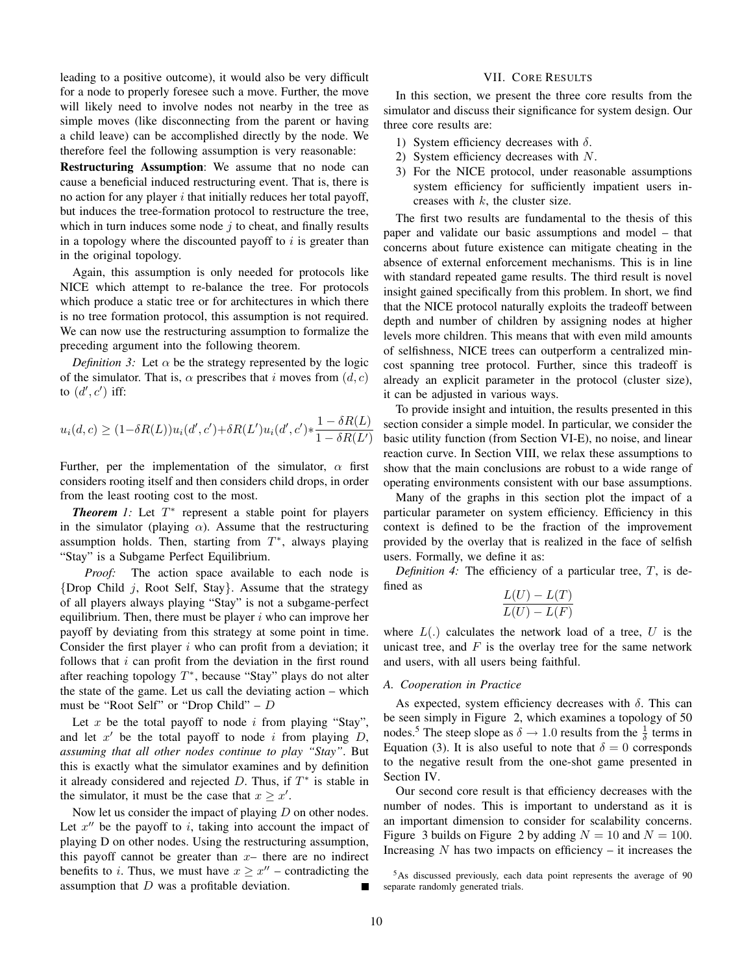leading to a positive outcome), it would also be very difficult for a node to properly foresee such a move. Further, the move will likely need to involve nodes not nearby in the tree as simple moves (like disconnecting from the parent or having a child leave) can be accomplished directly by the node. We therefore feel the following assumption is very reasonable:

**Restructuring Assumption**: We assume that no node can cause a beneficial induced restructuring event. That is, there is no action for any player  $i$  that initially reduces her total payoff, but induces the tree-formation protocol to restructure the tree, which in turn induces some node  $j$  to cheat, and finally results in a topology where the discounted payoff to  $i$  is greater than in the original topology.

Again, this assumption is only needed for protocols like NICE which attempt to re-balance the tree. For protocols which produce a static tree or for architectures in which there is no tree formation protocol, this assumption is not required. We can now use the restructuring assumption to formalize the preceding argument into the following theorem.

*Definition 3:* Let  $\alpha$  be the strategy represented by the logic of the simulator. That is,  $\alpha$  prescribes that i moves from  $(d, c)$ to  $(d', c')$  iff:

$$
u_i(d, c) \ge (1 - \delta R(L))u_i(d', c') + \delta R(L')u_i(d', c') * \frac{1 - \delta R(L)}{1 - \delta R(L')}
$$

Further, per the implementation of the simulator,  $\alpha$  first considers rooting itself and then considers child drops, in order from the least rooting cost to the most.

**Theorem** 1: Let  $T^*$  represent a stable point for players in the simulator (playing  $\alpha$ ). Assume that the restructuring assumption holds. Then, starting from  $T^*$ , always playing "Stay" is a Subgame Perfect Equilibrium.

*Proof:* The action space available to each node is {Drop Child  $j$ , Root Self, Stay}. Assume that the strategy of all players always playing "Stay" is not a subgame-perfect equilibrium. Then, there must be player  $i$  who can improve her payoff by deviating from this strategy at some point in time. Consider the first player  $i$  who can profit from a deviation; it follows that  $i$  can profit from the deviation in the first round after reaching topology  $T^*$ , because "Stay" plays do not alter the state of the game. Let us call the deviating action – which must be "Root Self" or "Drop Child"  $- D$ 

Let  $x$  be the total payoff to node  $i$  from playing "Stay", and let  $x'$  be the total payoff to node i from playing D, *assuming that all other nodes continue to play "Stay"*. But this is exactly what the simulator examines and by definition it already considered and rejected  $D$ . Thus, if  $T^*$  is stable in the simulator, it must be the case that  $x \geq x'$ .

Now let us consider the impact of playing  $D$  on other nodes. Let  $x''$  be the payoff to i, taking into account the impact of playing D on other nodes. Using the restructuring assumption, this payoff cannot be greater than  $x-$  there are no indirect benefits to i. Thus, we must have  $x \geq x''$  – contradicting the assumption that D was a profitable deviation.

#### VII. CORE RESULTS

In this section, we present the three core results from the simulator and discuss their significance for system design. Our three core results are:

- 1) System efficiency decreases with  $\delta$ .
- 2) System efficiency decreases with N.
- 3) For the NICE protocol, under reasonable assumptions system efficiency for sufficiently impatient users increases with  $k$ , the cluster size.

The first two results are fundamental to the thesis of this paper and validate our basic assumptions and model – that concerns about future existence can mitigate cheating in the absence of external enforcement mechanisms. This is in line with standard repeated game results. The third result is novel insight gained specifically from this problem. In short, we find that the NICE protocol naturally exploits the tradeoff between depth and number of children by assigning nodes at higher levels more children. This means that with even mild amounts of selfishness, NICE trees can outperform a centralized mincost spanning tree protocol. Further, since this tradeoff is already an explicit parameter in the protocol (cluster size), it can be adjusted in various ways.

To provide insight and intuition, the results presented in this section consider a simple model. In particular, we consider the basic utility function (from Section VI-E), no noise, and linear reaction curve. In Section VIII, we relax these assumptions to show that the main conclusions are robust to a wide range of operating environments consistent with our base assumptions.

Many of the graphs in this section plot the impact of a particular parameter on system efficiency. Efficiency in this context is defined to be the fraction of the improvement provided by the overlay that is realized in the face of selfish users. Formally, we define it as:

*Definition 4:* The efficiency of a particular tree, T, is defined as

$$
\frac{L(U)-L(T)}{L(U)-L(F)}
$$

where  $L(.)$  calculates the network load of a tree, U is the unicast tree, and  $F$  is the overlay tree for the same network and users, with all users being faithful.

## *A. Cooperation in Practice*

As expected, system efficiency decreases with  $\delta$ . This can be seen simply in Figure 2, which examines a topology of 50 nodes.<sup>5</sup> The steep slope as  $\delta \rightarrow 1.0$  results from the  $\frac{1}{\delta}$  terms in Equation (3). It is also useful to note that  $\delta = 0$  corresponds to the negative result from the one-shot game presented in Section IV.

Our second core result is that efficiency decreases with the number of nodes. This is important to understand as it is an important dimension to consider for scalability concerns. Figure 3 builds on Figure 2 by adding  $N = 10$  and  $N = 100$ . Increasing  $N$  has two impacts on efficiency – it increases the

<sup>&</sup>lt;sup>5</sup>As discussed previously, each data point represents the average of 90 separate randomly generated trials.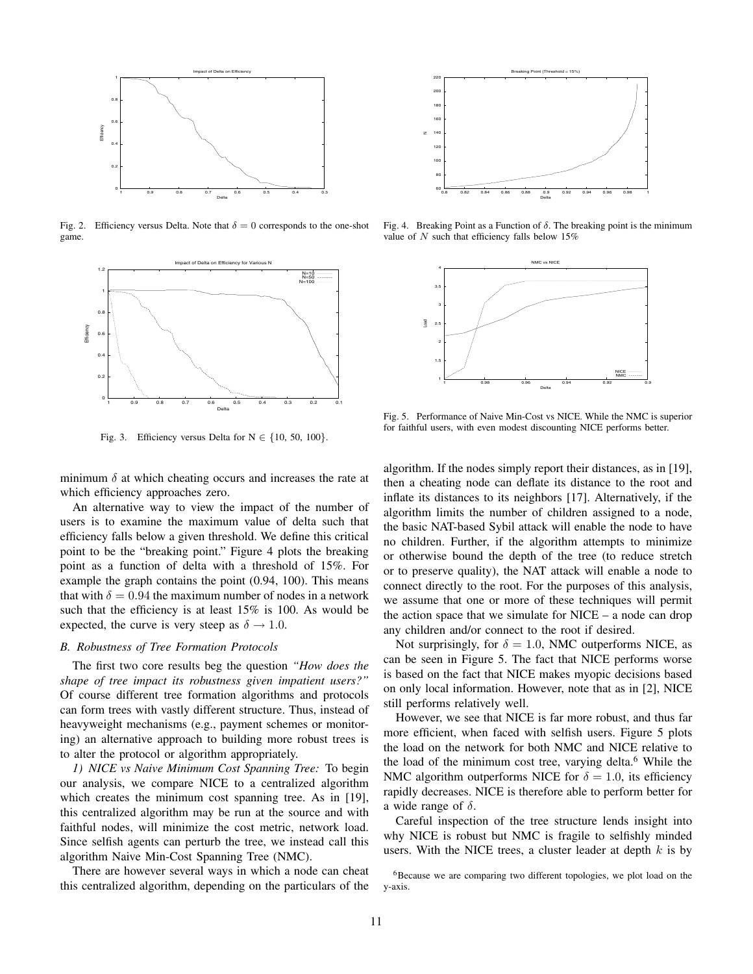

Fig. 2. Efficiency versus Delta. Note that  $\delta = 0$  corresponds to the one-shot game.



Fig. 3. Efficiency versus Delta for  $N \in \{10, 50, 100\}.$ 

minimum  $\delta$  at which cheating occurs and increases the rate at which efficiency approaches zero.

An alternative way to view the impact of the number of users is to examine the maximum value of delta such that efficiency falls below a given threshold. We define this critical point to be the "breaking point." Figure 4 plots the breaking point as a function of delta with a threshold of 15%. For example the graph contains the point (0.94, 100). This means that with  $\delta = 0.94$  the maximum number of nodes in a network such that the efficiency is at least 15% is 100. As would be expected, the curve is very steep as  $\delta \rightarrow 1.0$ .

## *B. Robustness of Tree Formation Protocols*

The first two core results beg the question *"How does the shape of tree impact its robustness given impatient users?"* Of course different tree formation algorithms and protocols can form trees with vastly different structure. Thus, instead of heavyweight mechanisms (e.g., payment schemes or monitoring) an alternative approach to building more robust trees is to alter the protocol or algorithm appropriately.

*1) NICE vs Naive Minimum Cost Spanning Tree:* To begin our analysis, we compare NICE to a centralized algorithm which creates the minimum cost spanning tree. As in [19], this centralized algorithm may be run at the source and with faithful nodes, will minimize the cost metric, network load. Since selfish agents can perturb the tree, we instead call this algorithm Naive Min-Cost Spanning Tree (NMC).

There are however several ways in which a node can cheat this centralized algorithm, depending on the particulars of the



Fig. 4. Breaking Point as a Function of  $\delta$ . The breaking point is the minimum value of  $N$  such that efficiency falls below  $15%$ 



Fig. 5. Performance of Naive Min-Cost vs NICE. While the NMC is superior for faithful users, with even modest discounting NICE performs better.

algorithm. If the nodes simply report their distances, as in [19], then a cheating node can deflate its distance to the root and inflate its distances to its neighbors [17]. Alternatively, if the algorithm limits the number of children assigned to a node, the basic NAT-based Sybil attack will enable the node to have no children. Further, if the algorithm attempts to minimize or otherwise bound the depth of the tree (to reduce stretch or to preserve quality), the NAT attack will enable a node to connect directly to the root. For the purposes of this analysis, we assume that one or more of these techniques will permit the action space that we simulate for  $NICE - a$  node can drop any children and/or connect to the root if desired.

Not surprisingly, for  $\delta = 1.0$ , NMC outperforms NICE, as can be seen in Figure 5. The fact that NICE performs worse is based on the fact that NICE makes myopic decisions based on only local information. However, note that as in [2], NICE still performs relatively well.

However, we see that NICE is far more robust, and thus far more efficient, when faced with selfish users. Figure 5 plots the load on the network for both NMC and NICE relative to the load of the minimum cost tree, varying delta.<sup>6</sup> While the NMC algorithm outperforms NICE for  $\delta = 1.0$ , its efficiency rapidly decreases. NICE is therefore able to perform better for a wide range of  $\delta$ .

Careful inspection of the tree structure lends insight into why NICE is robust but NMC is fragile to selfishly minded users. With the NICE trees, a cluster leader at depth  $k$  is by

<sup>&</sup>lt;sup>6</sup>Because we are comparing two different topologies, we plot load on the y-axis.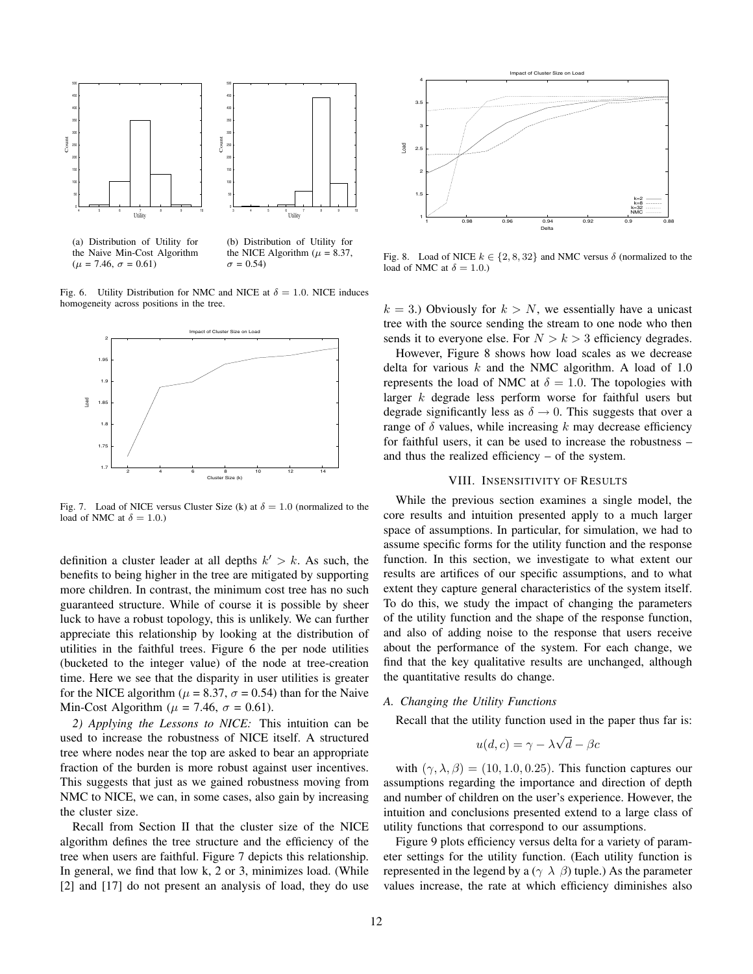

Fig. 6. Utility Distribution for NMC and NICE at  $\delta = 1.0$ . NICE induces homogeneity across positions in the tree.



Fig. 7. Load of NICE versus Cluster Size (k) at  $\delta = 1.0$  (normalized to the load of NMC at  $\delta = 1.0$ .)

definition a cluster leader at all depths  $k' > k$ . As such, the benefits to being higher in the tree are mitigated by supporting more children. In contrast, the minimum cost tree has no such guaranteed structure. While of course it is possible by sheer luck to have a robust topology, this is unlikely. We can further appreciate this relationship by looking at the distribution of utilities in the faithful trees. Figure 6 the per node utilities (bucketed to the integer value) of the node at tree-creation time. Here we see that the disparity in user utilities is greater for the NICE algorithm ( $\mu$  = 8.37,  $\sigma$  = 0.54) than for the Naive Min-Cost Algorithm ( $\mu$  = 7.46,  $\sigma$  = 0.61).

*2) Applying the Lessons to NICE:* This intuition can be used to increase the robustness of NICE itself. A structured tree where nodes near the top are asked to bear an appropriate fraction of the burden is more robust against user incentives. This suggests that just as we gained robustness moving from NMC to NICE, we can, in some cases, also gain by increasing the cluster size.

Recall from Section II that the cluster size of the NICE algorithm defines the tree structure and the efficiency of the tree when users are faithful. Figure 7 depicts this relationship. In general, we find that low k, 2 or 3, minimizes load. (While [2] and [17] do not present an analysis of load, they do use



Fig. 8. Load of NICE  $k \in \{2, 8, 32\}$  and NMC versus  $\delta$  (normalized to the load of NMC at  $\delta = 1.0$ .)

 $k = 3$ .) Obviously for  $k > N$ , we essentially have a unicast tree with the source sending the stream to one node who then sends it to everyone else. For  $N > k > 3$  efficiency degrades.

However, Figure 8 shows how load scales as we decrease delta for various  $k$  and the NMC algorithm. A load of 1.0 represents the load of NMC at  $\delta = 1.0$ . The topologies with larger k degrade less perform worse for faithful users but degrade significantly less as  $\delta \rightarrow 0$ . This suggests that over a range of  $\delta$  values, while increasing  $k$  may decrease efficiency for faithful users, it can be used to increase the robustness – and thus the realized efficiency – of the system.

## VIII. INSENSITIVITY OF RESULTS

While the previous section examines a single model, the core results and intuition presented apply to a much larger space of assumptions. In particular, for simulation, we had to assume specific forms for the utility function and the response function. In this section, we investigate to what extent our results are artifices of our specific assumptions, and to what extent they capture general characteristics of the system itself. To do this, we study the impact of changing the parameters of the utility function and the shape of the response function, and also of adding noise to the response that users receive about the performance of the system. For each change, we find that the key qualitative results are unchanged, although the quantitative results do change.

#### *A. Changing the Utility Functions*

Recall that the utility function used in the paper thus far is:

$$
u(d,c) = \gamma - \lambda \sqrt{d} - \beta c
$$

with  $(\gamma, \lambda, \beta) = (10, 1.0, 0.25)$ . This function captures our assumptions regarding the importance and direction of depth and number of children on the user's experience. However, the intuition and conclusions presented extend to a large class of utility functions that correspond to our assumptions.

Figure 9 plots efficiency versus delta for a variety of parameter settings for the utility function. (Each utility function is represented in the legend by a ( $\gamma \lambda \beta$ ) tuple.) As the parameter values increase, the rate at which efficiency diminishes also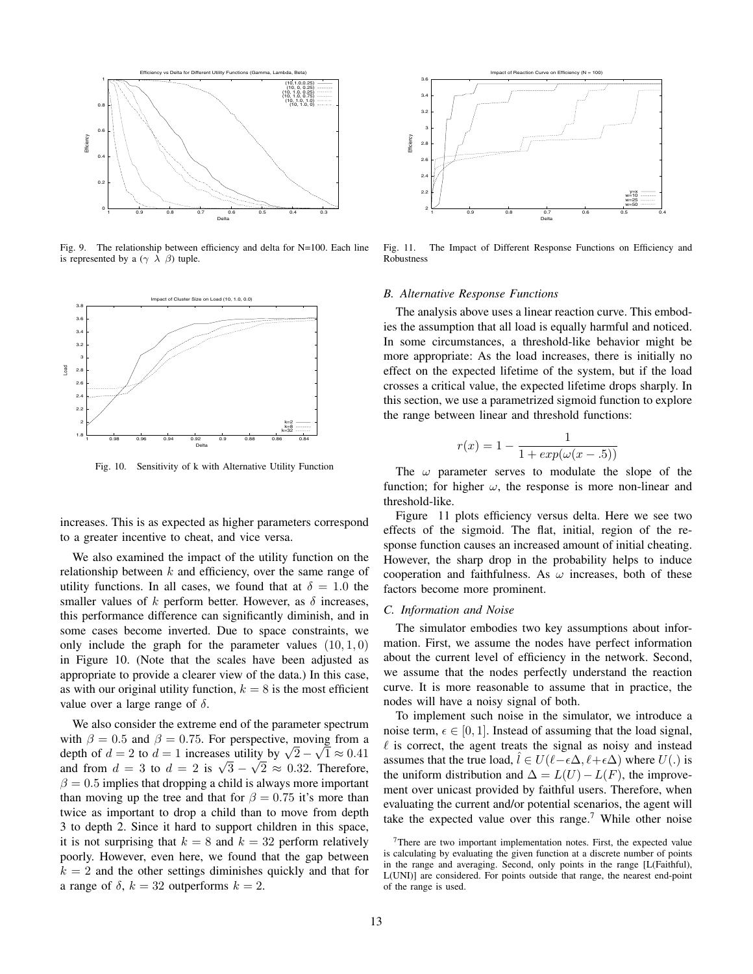

Fig. 9. The relationship between efficiency and delta for N=100. Each line is represented by a  $(\gamma \lambda \beta)$  tuple.



Fig. 10. Sensitivity of k with Alternative Utility Function

increases. This is as expected as higher parameters correspond to a greater incentive to cheat, and vice versa.

We also examined the impact of the utility function on the relationship between  $k$  and efficiency, over the same range of utility functions. In all cases, we found that at  $\delta = 1.0$  the smaller values of k perform better. However, as  $\delta$  increases, this performance difference can significantly diminish, and in some cases become inverted. Due to space constraints, we only include the graph for the parameter values  $(10, 1, 0)$ in Figure 10. (Note that the scales have been adjusted as appropriate to provide a clearer view of the data.) In this case, as with our original utility function,  $k = 8$  is the most efficient value over a large range of  $\delta$ .

We also consider the extreme end of the parameter spectrum with  $\beta = 0.5$  and  $\beta = 0.75$ . For perspective, moving from a depth of  $d = 2$  to  $d = 1$  increases utility by  $\sqrt{2} - \sqrt{1} \approx 0.41$ and from  $d = 3$  to  $d = 2$  is  $\sqrt{3} - \sqrt{2} \approx 0.32$ . Therefore,  $\beta = 0.5$  implies that dropping a child is always more important than moving up the tree and that for  $\beta = 0.75$  it's more than twice as important to drop a child than to move from depth 3 to depth 2. Since it hard to support children in this space, it is not surprising that  $k = 8$  and  $k = 32$  perform relatively poorly. However, even here, we found that the gap between  $k = 2$  and the other settings diminishes quickly and that for a range of  $\delta$ ,  $k = 32$  outperforms  $k = 2$ .



Fig. 11. The Impact of Different Response Functions on Efficiency and Robustness

#### *B. Alternative Response Functions*

The analysis above uses a linear reaction curve. This embodies the assumption that all load is equally harmful and noticed. In some circumstances, a threshold-like behavior might be more appropriate: As the load increases, there is initially no effect on the expected lifetime of the system, but if the load crosses a critical value, the expected lifetime drops sharply. In this section, we use a parametrized sigmoid function to explore the range between linear and threshold functions:

$$
r(x) = 1 - \frac{1}{1 + exp(\omega(x - .5))}
$$

The  $\omega$  parameter serves to modulate the slope of the function; for higher  $\omega$ , the response is more non-linear and threshold-like.

Figure 11 plots efficiency versus delta. Here we see two effects of the sigmoid. The flat, initial, region of the response function causes an increased amount of initial cheating. However, the sharp drop in the probability helps to induce cooperation and faithfulness. As  $\omega$  increases, both of these factors become more prominent.

## *C. Information and Noise*

The simulator embodies two key assumptions about information. First, we assume the nodes have perfect information about the current level of efficiency in the network. Second, we assume that the nodes perfectly understand the reaction curve. It is more reasonable to assume that in practice, the nodes will have a noisy signal of both.

To implement such noise in the simulator, we introduce a noise term,  $\epsilon \in [0, 1]$ . Instead of assuming that the load signal,  $\ell$  is correct, the agent treats the signal as noisy and instead assumes that the true load,  $\hat{l} \in U(\ell - \epsilon \Delta, \ell + \epsilon \Delta)$  where  $U(.)$  is the uniform distribution and  $\Delta = L(U) - L(F)$ , the improvement over unicast provided by faithful users. Therefore, when evaluating the current and/or potential scenarios, the agent will take the expected value over this range.<sup>7</sup> While other noise

<sup>&</sup>lt;sup>7</sup>There are two important implementation notes. First, the expected value is calculating by evaluating the given function at a discrete number of points in the range and averaging. Second, only points in the range [L(Faithful), L(UNI)] are considered. For points outside that range, the nearest end-point of the range is used.